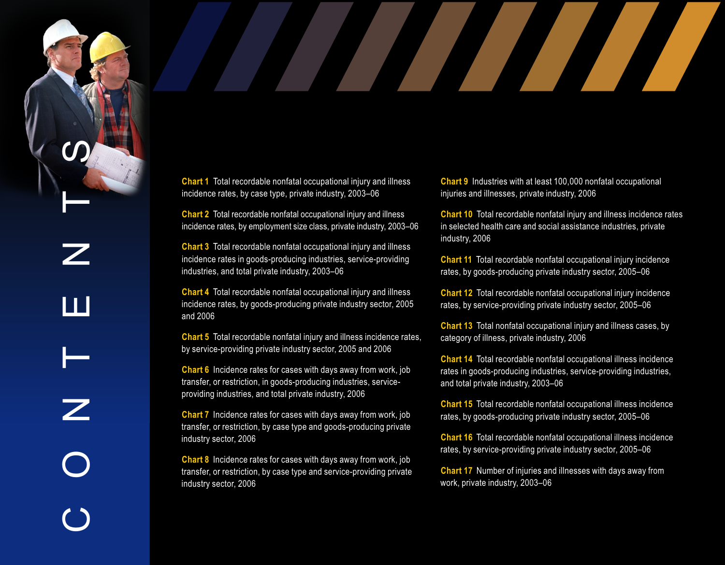**Chart 1** Total recordable nonfatal occupational injury and illness incidence rates, by case type, private industry, 2003–06 injuries and illnesses, private industry, 2006

**Chart 2** Total recordable nonfatal occupational injury and illness incidence rates, by employment size class, private industry, 2003–06 in selected health care and social assistance industries, private

**Chart 3** Total recordable nonfatal occupational injury and illness incidence rates in goods-producing industries, service-providing **The Chart 11** Total recordable nonfatal occupational injury incidence industries, and total private industry, 2003–06 rates, by goods-producing private industry sector, 2005–06

**Chart 4** Total recordable nonfatal occupational injury and illness incidence rates, by goods-producing private industry sector, 2005 rates, by service-providing private industry sector, 2005–06 and 2006

Chart 5 Total recordable nonfatal injury and illness incidence rates, category of illness, private industry, 2006 by service-providing private industry sector, 2005 and 2006

**Chart 6** Incidence rates for cases with days away from work, job transfer, or restriction, in goods-producing industries, service- and total private industry, 2003-06 providing industries, and total private industry, 2006

**Chart 7** Incidence rates for cases with days away from work, job transfer, or restriction, by case type and goods-producing private

**Chart 8** Incidence rates for cases with days away from work, job transfer, or restriction, by case type and service-providing private industry sector, 2006 work, private industry, 2003-06

 $\bigcirc$ 

O

Z

 $\vdash$ 

E

N

T

 $\boldsymbol{\mathcal{S}}$ 

**Chart 9** Industries with at least 100,000 nonfatal occupational

Chart 10 Total recordable nonfatal injury and illness incidence rates industry, 2006

Chart 12 Total recordable nonfatal occupational injury incidence

**Chart 13** Total nonfatal occupational injury and illness cases, by

**Chart 14** Total recordable nonfatal occupational illness incidence rates in goods-producing industries, service-providing industries,

**Chart 15** Total recordable nonfatal occupational illness incidence rates, by goods-producing private industry sector, 2005–06

industry sector, 2006 **Chart 16** Total recordable nonfatal occupational illness incidence rates, by service-providing private industry sector, 2005–06

**Chart 17** Number of injuries and illnesses with days away from